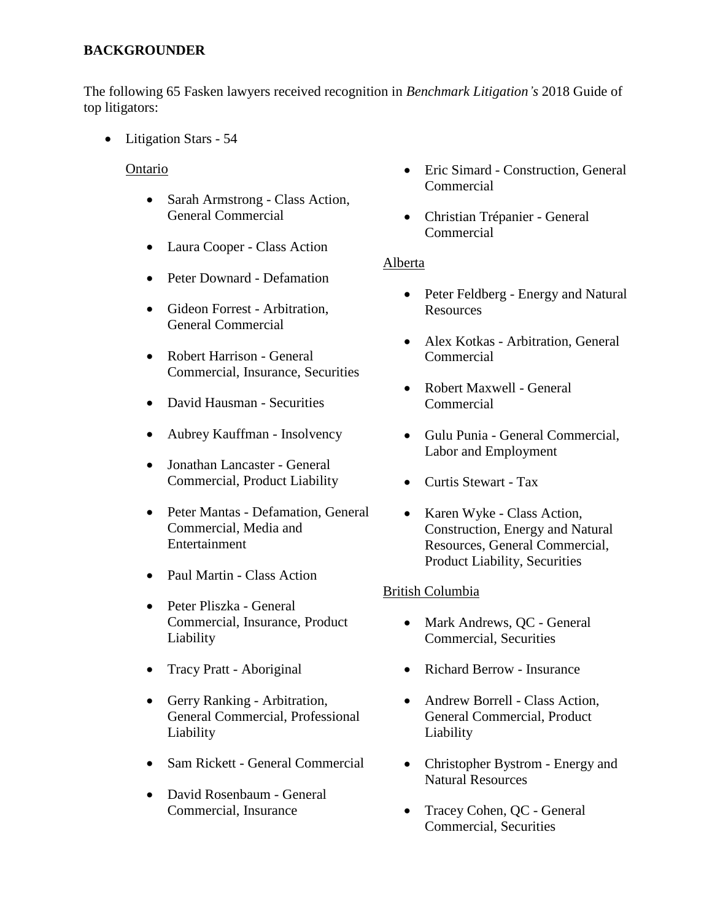# **BACKGROUNDER**

The following 65 Fasken lawyers received recognition in *Benchmark Litigation's* 2018 Guide of top litigators:

• Litigation Stars - 54

## Ontario

- Sarah Armstrong Class Action, General Commercial
- Laura Cooper Class Action
- Peter Downard Defamation
- Gideon Forrest Arbitration, General Commercial
- Robert Harrison General Commercial, Insurance, Securities
- David Hausman Securities
- Aubrey Kauffman Insolvency
- Jonathan Lancaster General Commercial, Product Liability
- Peter Mantas Defamation, General Commercial, Media and Entertainment
- Paul Martin Class Action
- Peter Pliszka General Commercial, Insurance, Product Liability
- Tracy Pratt Aboriginal
- Gerry Ranking Arbitration, General Commercial, Professional Liability
- Sam Rickett General Commercial
- David Rosenbaum General Commercial, Insurance
- Eric Simard Construction, General Commercial
- Christian Trépanier General Commercial

### Alberta

- Peter Feldberg Energy and Natural Resources
- Alex Kotkas Arbitration, General Commercial
- Robert Maxwell General Commercial
- Gulu Punia General Commercial, Labor and Employment
- Curtis Stewart Tax
- Karen Wyke Class Action, Construction, Energy and Natural Resources, General Commercial, Product Liability, Securities

### British Columbia

- Mark Andrews, QC General Commercial, Securities
- Richard Berrow Insurance
- Andrew Borrell Class Action, General Commercial, Product Liability
- Christopher Bystrom Energy and Natural Resources
- Tracey Cohen, QC General Commercial, Securities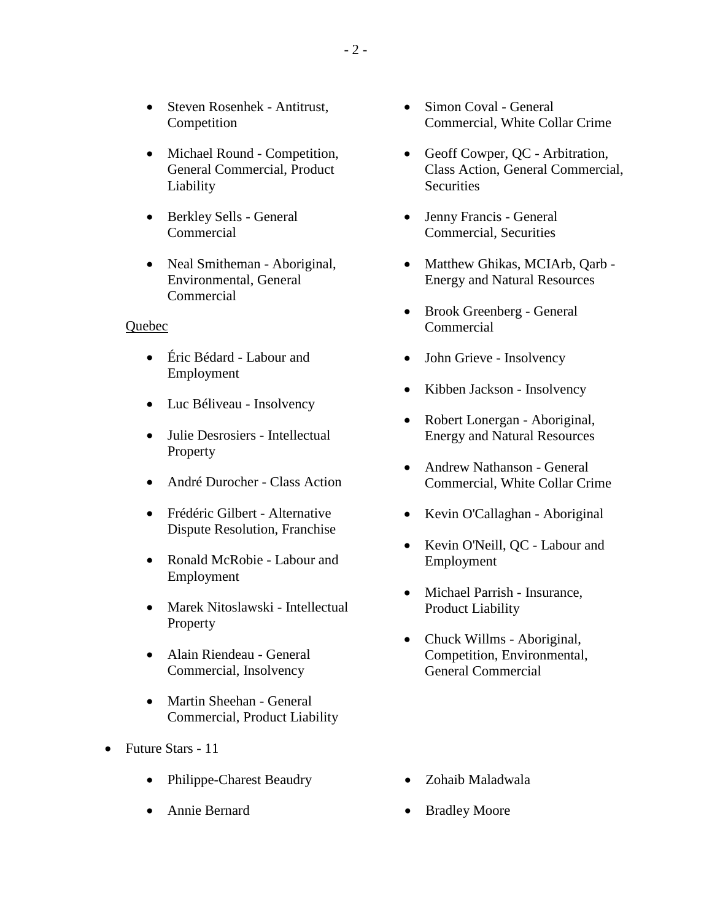- Steven Rosenhek Antitrust, Competition
- Michael Round Competition, General Commercial, Product Liability
- Berkley Sells General Commercial
- Neal Smitheman Aboriginal, Environmental, General Commercial

#### Quebec

- Éric Bédard Labour and Employment
- Luc Béliveau Insolvency
- Julie Desrosiers Intellectual Property
- André Durocher Class Action
- Frédéric Gilbert Alternative Dispute Resolution, Franchise
- Ronald McRobie Labour and Employment
- Marek Nitoslawski Intellectual **Property**
- Alain Riendeau General Commercial, Insolvency
- Martin Sheehan General Commercial, Product Liability
- Future Stars 11
	- Philippe-Charest Beaudry
	- Annie Bernard
- Simon Coval General Commercial, White Collar Crime
- Geoff Cowper, QC Arbitration, Class Action, General Commercial, **Securities**
- Jenny Francis General Commercial, Securities
- Matthew Ghikas, MCIArb, Qarb -Energy and Natural Resources
- Brook Greenberg General Commercial
- John Grieve Insolvency
- Kibben Jackson Insolvency
- Robert Lonergan Aboriginal, Energy and Natural Resources
- Andrew Nathanson General Commercial, White Collar Crime
- Kevin O'Callaghan Aboriginal
- Kevin O'Neill, OC Labour and Employment
- Michael Parrish Insurance, Product Liability
- Chuck Willms Aboriginal, Competition, Environmental, General Commercial

- Zohaib Maladwala
- Bradley Moore